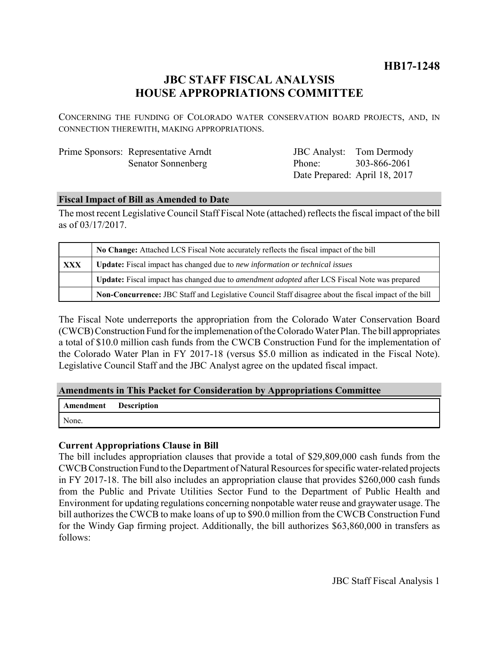# **JBC STAFF FISCAL ANALYSIS HOUSE APPROPRIATIONS COMMITTEE**

CONCERNING THE FUNDING OF COLORADO WATER CONSERVATION BOARD PROJECTS, AND, IN CONNECTION THEREWITH, MAKING APPROPRIATIONS.

| Prime Sponsors: Representative Arndt |
|--------------------------------------|
| <b>Senator Sonnenberg</b>            |

JBC Analyst: Tom Dermody Phone: Date Prepared: April 18, 2017 303-866-2061

#### **Fiscal Impact of Bill as Amended to Date**

The most recent Legislative Council Staff Fiscal Note (attached) reflects the fiscal impact of the bill as of 03/17/2017.

|     | No Change: Attached LCS Fiscal Note accurately reflects the fiscal impact of the bill                       |  |
|-----|-------------------------------------------------------------------------------------------------------------|--|
| XXX | Update: Fiscal impact has changed due to new information or technical issues                                |  |
|     | <b>Update:</b> Fiscal impact has changed due to <i>amendment adopted</i> after LCS Fiscal Note was prepared |  |
|     | Non-Concurrence: JBC Staff and Legislative Council Staff disagree about the fiscal impact of the bill       |  |

The Fiscal Note underreports the appropriation from the Colorado Water Conservation Board (CWCB) Construction Fund for the implemenation of the Colorado Water Plan. The bill appropriates a total of \$10.0 million cash funds from the CWCB Construction Fund for the implementation of the Colorado Water Plan in FY 2017-18 (versus \$5.0 million as indicated in the Fiscal Note). Legislative Council Staff and the JBC Analyst agree on the updated fiscal impact.

#### **Amendments in This Packet for Consideration by Appropriations Committee**

| Amendment | <b>Description</b> |
|-----------|--------------------|
| None.     |                    |

### **Current Appropriations Clause in Bill**

The bill includes appropriation clauses that provide a total of \$29,809,000 cash funds from the CWCB Construction Fund to the Department of Natural Resources for specific water-related projects in FY 2017-18. The bill also includes an appropriation clause that provides \$260,000 cash funds from the Public and Private Utilities Sector Fund to the Department of Public Health and Environment for updating regulations concerning nonpotable water reuse and graywater usage. The bill authorizes the CWCB to make loans of up to \$90.0 million from the CWCB Construction Fund for the Windy Gap firming project. Additionally, the bill authorizes \$63,860,000 in transfers as follows: